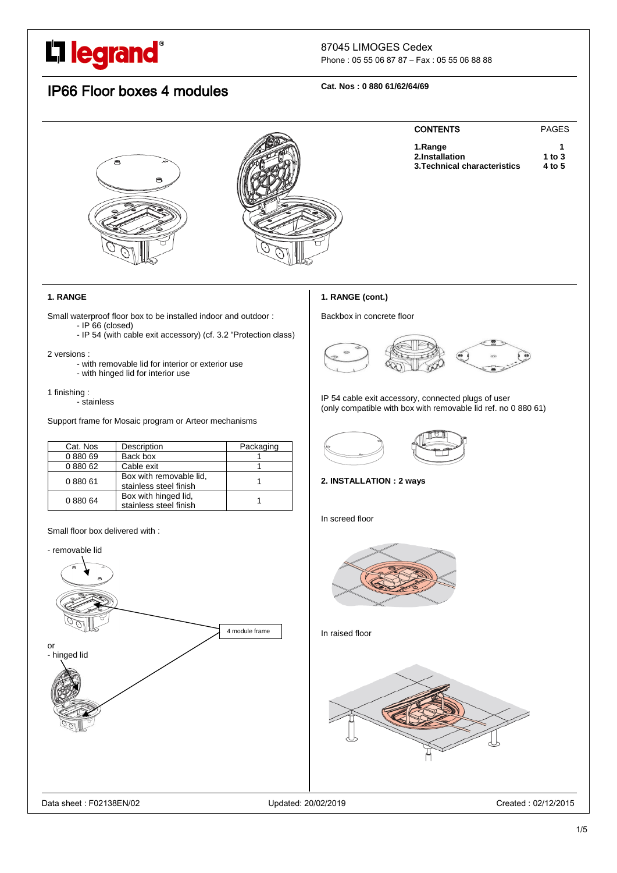# L'i legrand<sup>®</sup>

### 87045 LIMOGES Cedex

Phone : 05 55 06 87 87 – Fax : 05 55 06 88 88

## IP66 Floor boxes 4 modules

### **Cat. Nos : 0 880 61/62/64/69**



### **1. RANGE**

Small waterproof floor box to be installed indoor and outdoor :  $-$  IP 66 (closed)

- IP 54 (with cable exit accessory) (cf. 3.2 "Protection class)

#### 2 versions :

- with removable lid for interior or exterior use
- with hinged lid for interior use

### 1 finishing :

- stainless

Support frame for Mosaic program or Arteor mechanisms

| Cat. Nos | Description                                       | Packaging |
|----------|---------------------------------------------------|-----------|
| 088069   | Back box                                          |           |
| 0 880 62 | Cable exit                                        |           |
| 088061   | Box with removable lid,<br>stainless steel finish |           |
| 088064   | Box with hinged lid,<br>stainless steel finish    |           |

### Small floor box delivered with :



### **1. RANGE (cont.)**

Backbox in concrete floor



IP 54 cable exit accessory, connected plugs of user (only compatible with box with removable lid ref. no 0 880 61)



### **2. INSTALLATION : 2 ways**

In screed floor



In raised floor

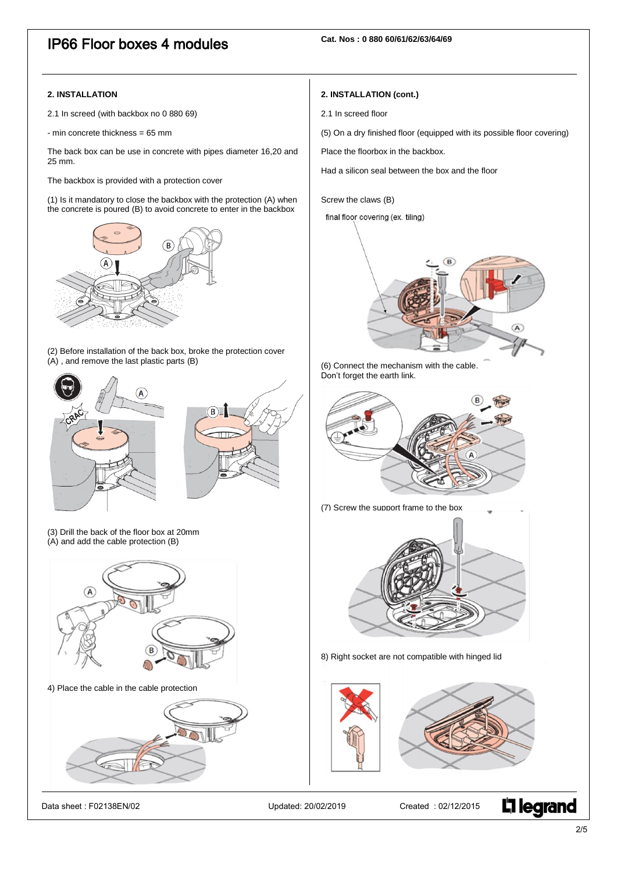### IP66 Floor boxes 4 modules

### **2. INSTALLATION**

2.1 In screed (with backbox no 0 880 69)

- min concrete thickness = 65 mm

The back box can be use in concrete with pipes diameter 16,20 and 25 mm.

The backbox is provided with a protection cover

(1) Is it mandatory to close the backbox with the protection (A) when the concrete is poured (B) to avoid concrete to enter in the backbox



(2) Before installation of the back box, broke the protection cover (A) , and remove the last plastic parts (B)



(3) Drill the back of the floor box at 20mm  $(A)$  and add the cable protection  $(B)$ 



4) Place the cable in the cable protection



Data sheet : F02138EN/02 Updated: 20/02/2019 Created : 02/12/2015

### **2. INSTALLATION (cont.)**

- 2.1 In screed floor
- (5) On a dry finished floor (equipped with its possible floor covering)

Place the floorbox in the backbox.

Had a silicon seal between the box and the floor

Screw the claws (B)

final floor covering (ex. tiling)



(6) Connect the mechanism with the cable. Don't forget the earth link.





8) Right socket are not compatible with hinged lid



2/5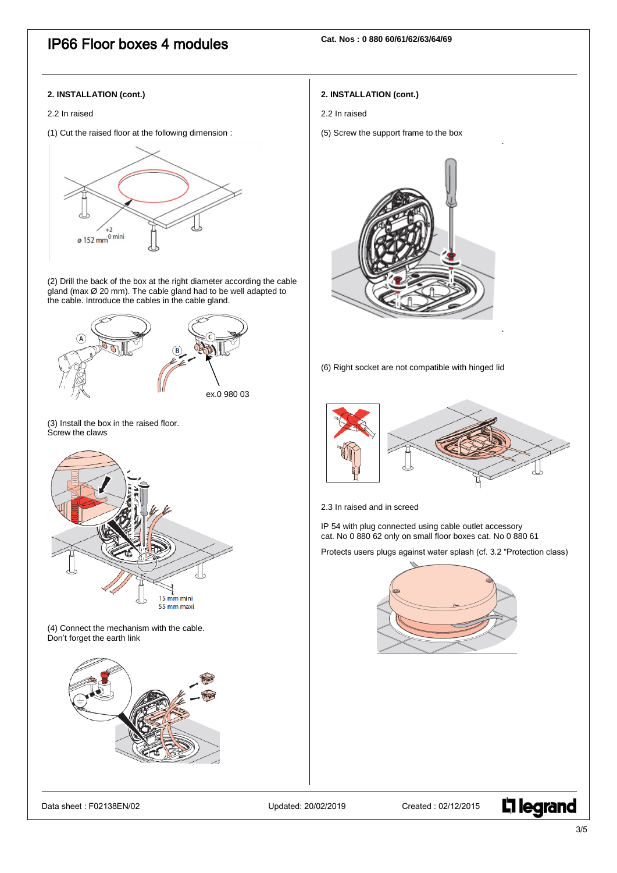### IP66 Floor boxes 4 modules

### **2. INSTALLATION (cont.)**

#### 2.2 In raised

(1) Cut the raised floor at the following dimension :



(2) Drill the back of the box at the right diameter according the cable gland (max Ø 20 mm). The cable gland had to be well adapted to the cable. Introduce the cables in the cable gland.



(3) Install the box in the raised floor. Screw the claws



(4) Connect the mechanism with the cable. Don't forget the earth link



### Data sheet : F02138EN/02 Updated: 20/02/2019 Created : 02/12/2015



### **2. INSTALLATION (cont.)**

- 2.2 In raised
- (5) Screw the support frame to the box



(6) Right socket are not compatible with hinged lid



2.3 In raised and in screed

IP 54 with plug connected using cable outlet accessory cat. No 0 880 62 only on small floor boxes cat. No 0 880 61

Protects users plugs against water splash (cf. 3.2 "Protection class)

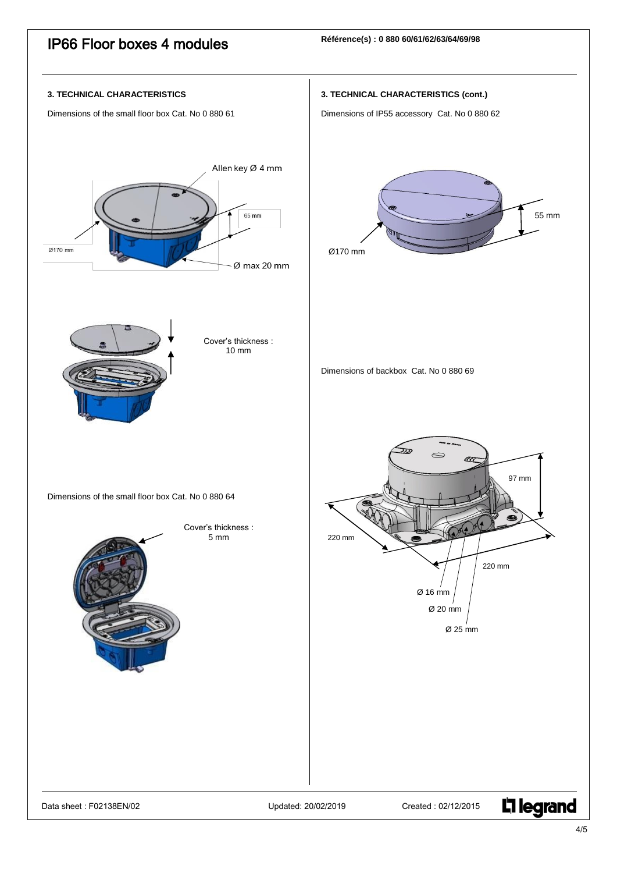

 $4/5$